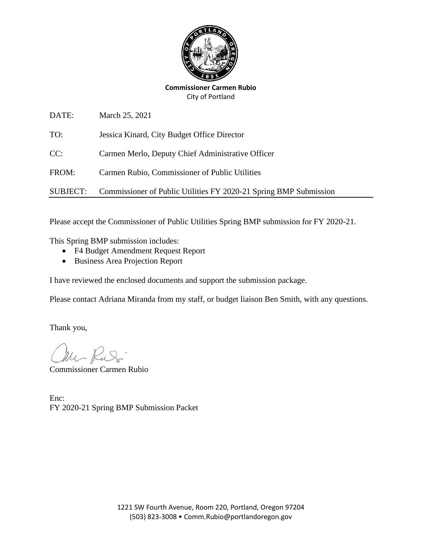

**Commissioner Carmen Rubio** City of Portland

| DATE:    | March 25, 2021                                                    |
|----------|-------------------------------------------------------------------|
| TO:      | Jessica Kinard, City Budget Office Director                       |
| CC:      | Carmen Merlo, Deputy Chief Administrative Officer                 |
| FROM:    | Carmen Rubio, Commissioner of Public Utilities                    |
| SUBJECT: | Commissioner of Public Utilities FY 2020-21 Spring BMP Submission |

Please accept the Commissioner of Public Utilities Spring BMP submission for FY 2020-21.

This Spring BMP submission includes:

- F4 Budget Amendment Request Report
- Business Area Projection Report

I have reviewed the enclosed documents and support the submission package.

Please contact Adriana Miranda from my staff, or budget liaison Ben Smith, with any questions.

Thank you,

Mr Russi

Commissioner Carmen Rubio

Enc: FY 2020-21 Spring BMP Submission Packet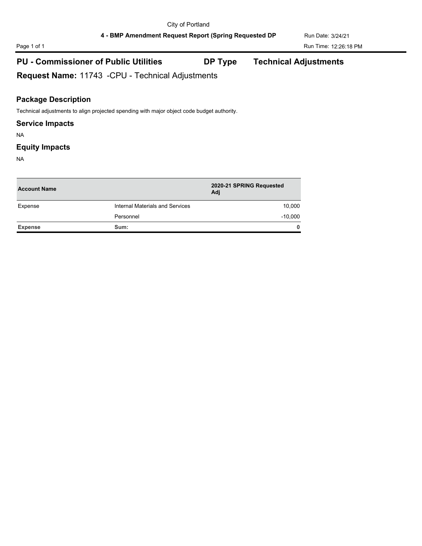# Page 1 of 1 Run Time: 12:26:18 PM

## **PU - Commissioner of Public Utilities DP Type Technical Adjustments**

**Request Name:** 11743 -CPU - Technical Adjustments

### **Package Description**

Technical adjustments to align projected spending with major object code budget authority.

#### **Service Impacts**

NA

#### **Equity Impacts**

NA

| <b>Account Name</b> |                                 | 2020-21 SPRING Requested<br>Adi |  |
|---------------------|---------------------------------|---------------------------------|--|
| Expense             | Internal Materials and Services | 10,000                          |  |
|                     | Personnel                       | $-10,000$                       |  |
| <b>Expense</b>      | Sum:                            | $\mathbf{0}$                    |  |
|                     |                                 |                                 |  |